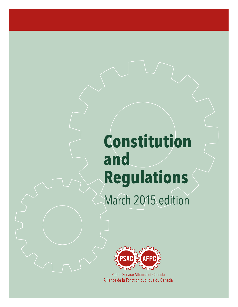# **Constitution and Regulations** May 2015 edition



**Public Service Alliance of Canada** Alliance de la Fonction publique du Canada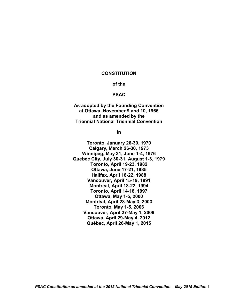#### **CONSTITUTION**

## **of the**

#### **PSAC**

**As adopted by the Founding Convention at Ottawa, November 9 and 10, 1966 and as amended by the Triennial National Triennial Convention**

**in**

 **Winnipeg, May 31, June 1-4, 1976 Ottawa, April 29-May 4, 2012 Toronto, January 26-30, 1970 Calgary, March 26-30, 1973 Quebec City, July 30-31, August 1-3, 1979 Toronto, April 19-23, 1982 Ottawa, June 17-21, 1985 Halifax, April 18-22, 1988 Vancouver, April 15-19, 1991 Montreal, April 18-22, 1994 Toronto, April 14-18, 1997 Ottawa, May 1-5, 2000 Montréal, April 28-May 3, 2003 Toronto, May 1-5, 2006 Vancouver, April 27-May 1, 2009 Québec, April 26-May 1, 2015**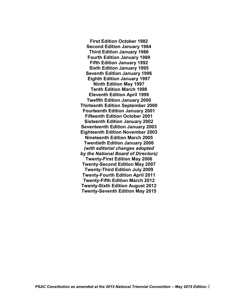**First Edition October 1982 Second Edition January 1984 Third Edition January 1986 Fourth Edition January 1989 Fifth Edition January 1992 Sixth Edition January 1995 Seventh Edition January 1996 Eighth Edition January 1997 Ninth Edition May 1997 Tenth Edition March 1998 Eleventh Edition April 1999 Twelfth Edition January 2000 Thirteenth Edition September 2000 Fourteenth Edition January 2001 Fifteenth Edition October 2001 Sixteenth Edition January 2002 Seventeenth Edition January 2003 Eighteenth Edition November 2003 Nineteenth Edition March 2005 Twentieth Edition January 2006** *(with editorial changes adopted by the National Board of Directors)* **Twenty-First Edition May 2006 Twenty-Second Edition May 2007 Twenty-Third Edition July 2009 Twenty-Fourth Edition April 2011 Twenty-Fifth Edition March 2012 Twenty-Sixth Edition August 2012 Twenty-Seventh Edition May 2015**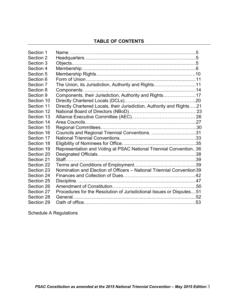# **TABLE OF CONTENTS**

| Section 1  |                                                                        |  |
|------------|------------------------------------------------------------------------|--|
| Section 2  |                                                                        |  |
| Section 3  |                                                                        |  |
| Section 4  |                                                                        |  |
| Section 5  |                                                                        |  |
| Section 6  |                                                                        |  |
| Section 7  | The Union, its Jurisdiction, Authority and Rights11                    |  |
| Section 8  |                                                                        |  |
| Section 9  | Components, their Jurisdiction, Authority and Rights17                 |  |
| Section 10 |                                                                        |  |
| Section 11 | Directly Chartered Locals, their Jurisdiction, Authority and Rights21  |  |
| Section 12 |                                                                        |  |
| Section 13 |                                                                        |  |
| Section 14 |                                                                        |  |
| Section 15 |                                                                        |  |
| Section 16 | Councils and Regional Triennial Conventions. 31                        |  |
| Section 17 |                                                                        |  |
| Section 18 |                                                                        |  |
| Section 19 | Representation and Voting at PSAC National Triennial Convention36      |  |
| Section 20 |                                                                        |  |
| Section 21 | Staff                                                                  |  |
| Section 22 |                                                                        |  |
| Section 23 | Nomination and Election of Officers - National Triennial Convention 39 |  |
| Section 24 |                                                                        |  |
| Section 25 | Discipline.                                                            |  |
| Section 26 |                                                                        |  |
| Section 27 | Procedures for the Resolution of Jurisdictional Issues or Disputes51   |  |
| Section 28 |                                                                        |  |
| Section 29 |                                                                        |  |
|            |                                                                        |  |

Schedule A Regulations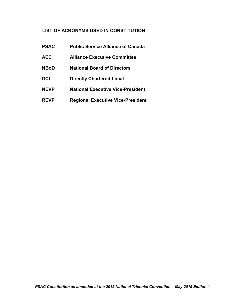# **LIST OF ACRONYMS USED IN CONSTITUTION**

| <b>PSAC</b> | <b>Public Service Alliance of Canada</b> |
|-------------|------------------------------------------|
| <b>AEC</b>  | <b>Alliance Executive Committee</b>      |
| <b>NBoD</b> | <b>National Board of Directors</b>       |
| <b>DCL</b>  | <b>Directly Chartered Local</b>          |
| <b>NEVP</b> | National Executive Vice-President        |
| <b>REVP</b> | <b>Regional Executive Vice-President</b> |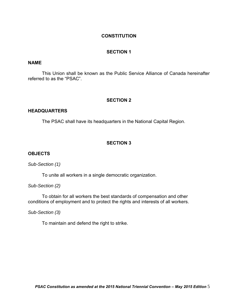## **CONSTITUTION**

## **SECTION 1**

## **NAME**

 This Union shall be known as the Public Service Alliance of Canada hereinafter referred to as the "PSAC".

#### **SECTION 2**

#### **HEADQUARTERS**

The PSAC shall have its headquarters in the National Capital Region.

# **SECTION 3**

#### **OBJECTS**

*Sub-Section (1)* 

To unite all workers in a single democratic organization.

*Sub-Section (2)* 

To obtain for all workers the best standards of compensation and other conditions of employment and to protect the rights and interests of all workers.

*Sub-Section (3)* 

To maintain and defend the right to strike.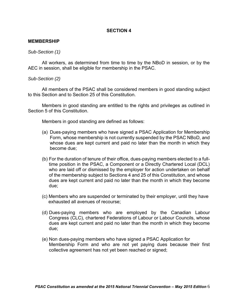#### **MEMBERSHIP**

#### *Sub-Section (1)*

 AEC in session, shall be eligible for membership in the PSAC. All workers, as determined from time to time by the NBoD in session, or by the

#### *Sub-Section (2)*

 to this Section and to Section 25 of this Constitution. All members of the PSAC shall be considered members in good standing subject

 Members in good standing are entitled to the rights and privileges as outlined in Section 5 of this Constitution.

Members in good standing are defined as follows:

- (a) Dues-paying members who have signed a PSAC Application for Membership Form, whose membership is not currently suspended by the PSAC NBoD, and whose dues are kept current and paid no later than the month in which they become due;
- (b) For the duration of tenure of their office, dues-paying members elected to a full- time position in the PSAC, a Component or a Directly Chartered Local (DCL) who are laid off or dismissed by the employer for action undertaken on behalf of the membership subject to Sections 4 and 25 of this Constitution, and whose dues are kept current and paid no later than the month in which they become  $due:$
- (c) Members who are suspended or terminated by their employer, until they have exhausted all avenues of recourse;
- (d) Dues-paying members who are employed by the Canadian Labour Congress (CLC), chartered Federations of Labour or Labour Councils, whose dues are kept current and paid no later than the month in which they become  $due:$
- Membership Form and who are not yet paying dues because their first collective agreement has not yet been reached or signed; (e) Non dues-paying members who have signed a PSAC Application for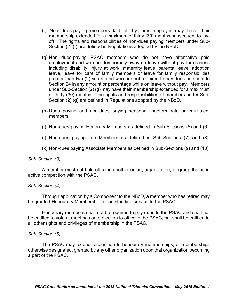- (f) Non dues-paying members laid off by their employer may have their membership extended for a maximum of thirty (30) months subsequent to lay- off. The rights and responsibilities of non-dues paying members under Sub-Section (2) (f) are defined in Regulations adopted by the NBoD.
- (g) Non dues-paying PSAC members who do not have alternative paid employment and who are temporarily away on leave without pay for reasons leave, leave for care of family members or leave for family responsibilities greater than two (2) years, and who are not required to pay dues pursuant to Section 24 in any amount or percentage while on leave without pay. Members under Sub-Section (2) (g) may have their membership extended for a maximum of thirty (30) months. The rights and responsibilities of members under Subincluding disability, injury at work, maternity leave, parental leave, adoption Section (2) (g) are defined in Regulations adopted by the NBoD.
- (h) Dues paying and non-dues paying seasonal indeterminate or equivalent members;
- (i) Non-dues paying Honorary Members as defined in Sub-Sections (5) and (6);
- (j) Non-dues paying Life Members as defined in Sub-Sections (7) and (8);
- (k) Non-dues paying Associate Members as defined in Sub-Sections (9) and (10).

## *Sub-Section (3)*

 active competition with the PSAC**.**  A member must not hold office in another union, organization, or group that is in

## *Sub-Section (4)*

 Through application by a Component to the NBoD, a member who has retired may be granted Honourary Membership for outstanding service to the PSAC.

 Honourary members shall not be required to pay dues to the PSAC and shall not be entitled to vote at meetings or to election to office in the PSAC, but shall be entitled to all other rights and privileges of membership in the PSAC.

#### *Sub-Section (5)*

 otherwise designated, granted by any other organization upon that organization becoming a part of the PSAC. The PSAC may extend recognition to honourary memberships, or memberships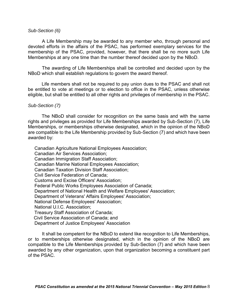#### *Sub-Section (6)*

 devoted efforts in the affairs of the PSAC, has performed exemplary services for the membership of the PSAC, provided, however, that there shall be no more such Life Memberships at any one time than the number thereof decided upon by the NBoD. A Life Membership may be awarded to any member who, through personal and

NBoD which shall establish regulations to govern the award thereof. The awarding of Life Memberships shall be controlled and decided upon by the

 be entitled to vote at meetings or to election to office in the PSAC, unless otherwise eligible, but shall be entitled to all other rights and privileges of membership in the PSAC. Life members shall not be required to pay union dues to the PSAC and shall not

#### *Sub-Section (7)*

 The NBoD shall consider for recognition on the same basis and with the same rights and privileges as provided for Life Memberships awarded by Sub-Section (7), Life Memberships, or memberships otherwise designated, which in the opinion of the NBoD are compatible to the Life Membership provided by Sub-Section (7) and which have been awarded by:

Canadian Agriculture National Employees Association; Canadian Air Services Association; Canadian Immigration Staff Association; Canadian Marine National Employees Association; Canadian Taxation Division Staff Association; Civil Service Federation of Canada; Customs and Excise Officers' Association; Federal Public Works Employees Association of Canada; Department of National Health and Welfare Employees' Association; Department of Veterans' Affairs Employees' Association; National Defense Employees' Association; National U.I.C. Association; Treasury Staff Association of Canada; Civil Service Association of Canada; and Department of Justice Employees' Association

 or to memberships otherwise designated, which in the opinion of the NBoD are compatible to the Life Memberships provided by Sub-Section (7) and which have been awarded by any other organization, upon that organization becoming a constituent part It shall be competent for the NBoD to extend like recognition to Life Memberships, of the PSAC.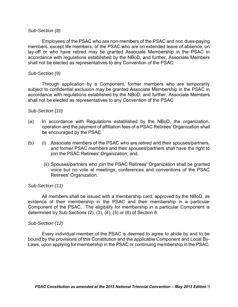## *Sub-Section (8)*

 Employees of the PSAC who are non-members of the PSAC and non dues-paying members, except life members, of the PSAC who are on extended leave of absence, on lay-off or who have retired may be granted Associate Membership in the PSAC in accordance with regulations established by the NBoD, and further, Associate Members shall not be elected as representatives to any Convention of the PSAC.

#### *Sub-Section (9)*

 Through application by a Component, former members who are temporarily subject to confidential exclusion may be granted Associate Membership in the PSAC in accordance with regulations established by the NBoD, and further, Associate Members shall not be elected as representatives to any Convention of the PSAC.

## *Sub-Section (10)*

- $(a)$  operation and the payment of affiliation fees of a PSAC Retirees' Organization shall be encouraged by the PSAC. In accordance with Regulations established by the NBoD, the organization,
- $(b)$  and former PSAC members and their spouses/partners shall have the right to  $(i)$  Associate members of the PSAC who are retired and their spouses/partners, join the PSAC Retirees' Organization; and,
	- (ii) Spouses/partners who join the PSAC Retirees' Organization shall be granted voice but no vote at meetings, conferences and conventions of the PSAC Retirees' Organization.

## *Sub-Section (11)*

 evidence of their membership in the PSAC and their membership in a particular Component of the PSAC. The eligibility for membership in a particular Component is All members shall be issued with a membership card, approved by the NBoD, as determined by Sub-Sections (2), (3), (4), (5) or (6) of Section 8.

#### *Sub-Section (12)*

 Every individual member of the PSAC is deemed to agree to abide by and to be bound by the provisions of this Constitution and the applicable Component and Local By-Laws, upon applying for membership in the PSAC or continuing membership in the PSAC.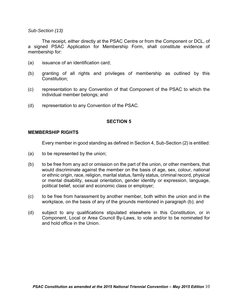## *Sub-Section (13)*

 a signed PSAC Application for Membership Form, shall constitute evidence of The receipt, either directly at the PSAC Centre or from the Component or DCL, of membership for:

- (a) issuance of an identification card;
- (b) granting of all rights and privileges of membership as outlined by this Constitution;
- (c) representation to any Convention of that Component of the PSAC to which the individual member belongs; and
- individual member belongs; and<br>(d) representation to any Convention of the PSAC.

# **SECTION 5**

# **MEMBERSHIP RIGHTS**

Every member in good standing as defined in Section 4, Sub-Section (2) is entitled:

- (a) to be represented by the union;
- $(b)$  would discriminate against the member on the basis of age, sex, colour, national or ethnic origin, race, religion, marital status, family status, criminal record, physical to be free from any act or omission on the part of the union, or other members, that or mental disability, sexual orientation, gender identity or expression, language, political belief, social and economic class or employer;
- $(c)$ to be free from harassment by another member, both within the union and in the workplace, on the basis of any of the grounds mentioned in paragraph (b); and
- $(d)$  Component, Local or Area Council By-Laws, to vote and/or to be nominated for subject to any qualifications stipulated elsewhere in this Constitution, or in and hold office in the Union.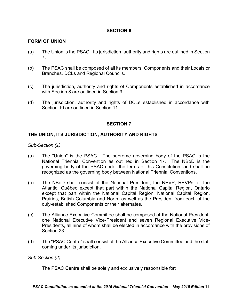# **FORM OF UNION**

- $(a)$ The Union is the PSAC. Its jurisdiction, authority and rights are outlined in Section 7.
- (b) The PSAC shall be composed of all its members, Components and their Locals or Branches, DCLs and Regional Councils.
- $(c)$  with Section 8 are outlined in Section 9. The jurisdiction, authority and rights of Components established in accordance
- $(d)$  Section 10 are outlined in Section 11. The jurisdiction, authority and rights of DCLs established in accordance with

## **SECTION 7**

# **THE UNION, ITS JURISDICTION, AUTHORITY AND RIGHTS**

*Sub-Section (1)* 

- National Triennial Convention as outlined in Section 17. The NBoD is the governing body of the PSAC under the terms of this Constitution, and shall be (a) The "Union" is the PSAC. The supreme governing body of the PSAC is the recognized as the governing body between National Triennial Conventions.
- except that part within the National Capital Region, National Capital Region, Prairies, British Columbia and North, as well as the President from each of the (b) The NBoD shall consist of the National President, the NEVP, REVPs for the Atlantic, Québec except that part within the National Capital Region, Ontario duly-established Components or their alternates.
- $(c)$  one National Executive Vice-President and seven Regional Executive Vice- Presidents, all nine of whom shall be elected in accordance with the provisions of The Alliance Executive Committee shall be composed of the National President, Section 23.
- $(d)$ The "PSAC Centre" shall consist of the Alliance Executive Committee and the staff coming under its jurisdiction.

*Sub-Section (2)* 

The PSAC Centre shall be solely and exclusively responsible for: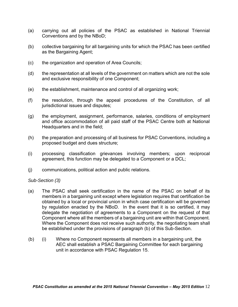- (a) carrying out all policies of the PSAC as established in National Triennial Conventions and by the NBoD;
- (b) collective bargaining for all bargaining units for which the PSAC has been certified as the Bargaining Agent:
- $(c)$ the organization and operation of Area Councils;
- $(d)$ and exclusive responsibility of one Component: the representation at all levels of the government on matters which are not the sole
- $(e)$ the establishment, maintenance and control of all organizing work;
- $(f)$ the resolution, through the appeal procedures of the Constitution, of all jurisdictional issues and disputes;
- $(q)$  and office accommodation of all paid staff of the PSAC Centre both at National Headquarters and in the field; the employment, assignment, performance, salaries, conditions of employment
- $(h)$  proposed budget and dues structure; the preparation and processing of all business for PSAC Conventions, including a
- agreement, this function may be delegated to a Component or a DCL; (i) processing classification grievances involving members; upon reciprocal
- (j) communications, political action and public relations.

# *Sub-Section (3)*

- $(a)$  members in a bargaining unit except where legislation requires that certification be obtained by a local or provincial union in which case certification will be governed by regulation enacted by the NBoD. In the event that it is so certified, it may delegate the negotiation of agreements to a Component on the request of that Component where all the members of a bargaining unit are within that Component. Where the Component does not receive such authority, the negotiating team shall The PSAC shall seek certification in the name of the PSAC on behalf of its be established under the provisions of paragraph (b) of this Sub-Section.
- unit in accordance with PSAC Regulation 15. (b) (i) Where no Component represents all members in a bargaining unit, the AEC shall establish a PSAC Bargaining Committee for each bargaining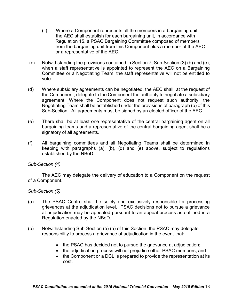- the AEC shall establish for each bargaining unit, in accordance with (ii) Where a Component represents all the members in a bargaining unit, Regulation 15, a PSAC Bargaining Committee composed of members from the bargaining unit from this Component plus a member of the AEC or a representative of the AEC.
- $(c)$  when a staff representative is appointed to represent the AEC on a Bargaining Committee or a Negotiating Team, the staff representative will not be entitled to Notwithstanding the provisions contained in Section 7, Sub-Section (3) (b) and (e), vote.
- $(d)$  the Component, delegate to the Component the authority to negotiate a subsidiary agreement. Where the Component does not request such authority, the Negotiating Team shall be established under the provisions of paragraph (b) of this Sub-Section. All agreements must be signed by an elected officer of the AEC. Where subsidiary agreements can be negotiated, the AEC shall, at the request of
- (e) There shall be at least one representative of the central bargaining agent on all bargaining teams and a representative of the central bargaining agent shall be a signatory of all agreements.
- $(f)$  keeping with paragraphs (a), (b), (d) and (e) above, subject to regulations All bargaining committees and all Negotiating Teams shall be determined in established by the NBoD.

## *Sub-Section (4)*

The AEC may delegate the delivery of education to a Component on the request of a Component.

## *Sub-Section (5)*

- $(a)$  grievances at the adjudication level. PSAC decisions not to pursue a grievance at adjudication may be appealed pursuant to an appeal process as outlined in a The PSAC Centre shall be solely and exclusively responsible for processing Regulation enacted by the NBoD.
- $(b)$ Notwithstanding Sub-Section (5) (a) of this Section, the PSAC may delegate responsibility to process a grievance at adjudication in the event that:
	- the PSAC has decided not to pursue the grievance at adjudication;
	- the adjudication process will not prejudice other PSAC members; and
	- the Component or a DCL is prepared to provide the representation at its cost.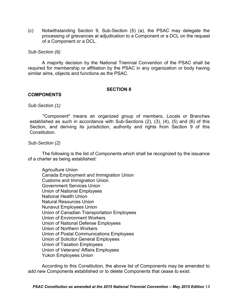(c) Notwithstanding Section 9, Sub-Section (5) (a), the PSAC may delegate the processing of grievances at adjudication to a Component or a DCL on the request of a Component or a DCL.

## *Sub-Section (6)*

 required for membership or affiliation by the PSAC in any organization or body having A majority decision by the National Triennial Convention of the PSAC shall be similar aims, objects and functions as the PSAC.

## **SECTION 8**

# **COMPONENTS**

## *Sub-Section (1)*

 established as such in accordance with Sub-Sections (2), (3), (4), (5) and (6) of this Section, and deriving its jurisdiction, authority and rights from Section 9 of this "Component" means an organized group of members, Locals or Branches **Constitution** 

## *Sub-Section (2)*

 The following is the list of Components which shall be recognized by the issuance of a charter as being established:

 Customs and Immigration Union National Health Union Union of Canadian Transportation Employees Union of Environment Workers Agriculture Union Canada Employment and Immigration Union Government Services Union Union of National Employees Natural Resources Union Nunavut Employees Union Union of National Defense Employees Union of Northern Workers Union of Postal Communications Employees Union of Solicitor General Employees Union of Taxation Employees Union of Veterans' Affairs Employees Yukon Employees Union

 According to this Constitution, the above list of Components may be amended to add new Components established or to delete Components that cease to exist.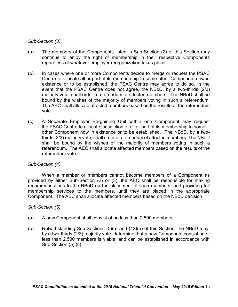## *Sub-Section (3)*

- continue to enjoy the right of membership in their respective Components regardless of whatever employer reorganization takes place. (a) The members of the Components listed in Sub-Section (2) of this Section may
- $(b)$  existence or to be established, the PSAC Centre may agree to do so. In the event that the PSAC Centre does not agree, the NBoD, by a two-thirds (2/3) In cases where one or more Components decide to merge or request the PSAC Centre to allocate all or part of its membership to some other Component now in majority vote, shall order a referendum of affected members. The NBoD shall be bound by the wishes of the majority of members voting in such a referendum. The AEC shall allocate affected members based on the results of the referendum vote.
- $(c)$  the PSAC Centre to allocate jurisdiction of all or part of its membership to some other Component now in existence or to be established. The NBoD, by a two- thirds (2/3) majority vote, shall order a referendum of affected members. The NBoD shall be bound by the wishes of the majority of members voting in such a referendum. The AEC shall allocate affected members based on the results of the A Separate Employer Bargaining Unit within one Component may request referendum vote.

## *Sub-Section (4)*

 When a member or members cannot become members of a Component as provided by either Sub-Section (2) or (3), the AEC shall be responsible for making recommendations to the NBoD on the placement of such members, and providing full membership services to the members, until they are placed in the appropriate Component. The AEC shall allocate affected members based on the NBoD decision.

## *Sub-Section (5)*

- (a) A new Component shall consist of no less than 2,500 members.
- by a two-thirds (2/3) majority vote, determine that a new Component consisting of less than 2,500 members is viable, and can be established in accordance with (b) Notwithstanding Sub-Sections  $(5)(a)$  and  $(12)(a)$  of this Section, the NBoD may, Sub-Section (5) (c).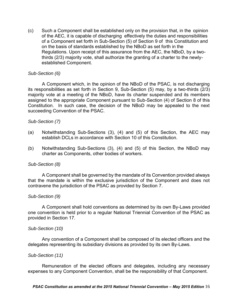$(c)$  of the AEC, it is capable of discharging effectively the duties and responsibilities of a Component set forth in Sub-Section (5) of Section 9 of this Constitution and on the basis of standards established by the NBoD as set forth in the established Component. Such a Component shall be established only on the provision that, in the opinion Regulations. Upon receipt of this assurance from the AEC, the NBoD, by a twothirds (2/3) majority vote, shall authorize the granting of a charter to the newly-

## *Sub-Section (6)*

 its responsibilities as set forth in Section 9, Sub-Section (5) may, by a two-thirds (2/3) majority vote at a meeting of the NBoD, have its charter suspended and its members assigned to the appropriate Component pursuant to Sub-Section (4) of Section 8 of this Constitution. In such case, the decision of the NBoD may be appealed to the next succeeding Convention of the PSAC. A Component which, in the opinion of the NBoD of the PSAC, is not discharging

## *Sub-Section (7)*

- (a) Notwithstanding Sub-Sections (3), (4) and (5) of this Section, the AEC may establish DCLs in accordance with Section 10 of this Constitution.
- (b) Notwithstanding Sub-Sections (3), (4) and (5) of this Section, the NBoD may charter as Components, other bodies of workers.

## *Sub-Section (8)*

 that the mandate is within the exclusive jurisdiction of the Component and does not contravene the jurisdiction of the PSAC as provided by Section 7. A Component shall be governed by the mandate of its Convention provided always

#### *Sub-Section (9)*

 one convention is held prior to a regular National Triennial Convention of the PSAC as provided in Section 17. A Component shall hold conventions as determined by its own By-Laws provided

#### *Sub-Section (10)*

Any convention of a Component shall be composed of its elected officers and the delegates representing its subsidiary divisions as provided by its own By-Laws.

#### *Sub-Section (11)*

 Remuneration of the elected officers and delegates, including any necessary expenses to any Component Convention, shall be the responsibility of that Component.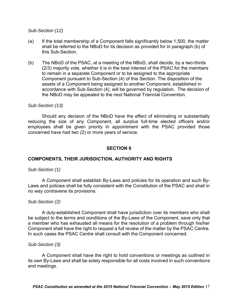## *Sub-Section (12)*

- (a) If the total membership of a Component falls significantly below 1,500, the matter shall be referred to the NBoD for its decision as provided for in paragraph (b) of this Sub-Section.
- to remain in a separate Component or to be assigned to the appropriate accordance with Sub-Section (4), will be governed by regulation. The decision of (b) The NBoD of the PSAC, at a meeting of the NBoD, shall decide, by a two-thirds (2/3) majority vote, whether it is in the best interest of the PSAC for the members Component pursuant to Sub-Section (4) of this Section. The disposition of the assets of a Component being assigned to another Component, established in the NBoD may be appealed to the next National Triennial Convention.

#### *Sub-Section (13)*

 Should any decision of the NBoD have the effect of eliminating or substantially reducing the size of any Component, all surplus full-time elected officers and/or employees shall be given priority in appointment with the PSAC provided those concerned have had two (2) or more years of service.

## **SECTION 9**

## **COMPONENTS, THEIR JURISDICTION, AUTHORITY AND RIGHTS**

## *Sub-Section (1)*

 Laws and policies shall be fully consistent with the Constitution of the PSAC and shall in A Component shall establish By-Laws and policies for its operation and such Byno way contravene its provisions.

## *Sub-Section (2)*

 be subject to the terms and conditions of the By-Laws of the Component, save only that a member who has exhausted all means for the resolution of a problem through his/her Component shall have the right to request a full review of the matter by the PSAC Centre. A duly-established Component shall have jurisdiction over its members who shall In such cases the PSAC Centre shall consult with the Component concerned.

#### *Sub-Section (3)*

 its own By-Laws and shall be solely responsible for all costs involved in such conventions and meetings. A Component shall have the right to hold conventions or meetings as outlined in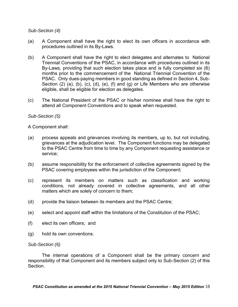# *Sub-Section (4)*

- $(a)$ A Component shall have the right to elect its own officers in accordance with procedures outlined in its By-Laws.
- $(b)$  Triennial Conventions of the PSAC, in accordance with procedures outlined in its By-Laws, providing that such election takes place and is fully completed six (6) months prior to the commencement of the National Triennial Convention of the PSAC. Only dues-paying members in good standing as defined in Section 4, Sub- Section (2) (a), (b), (c), (d), (e), (f) and (g) or Life Members who are otherwise eligible, shall be eligible for election as delegates. A Component shall have the right to elect delegates and alternates to National
- $(c)$ The National President of the PSAC or his/her nominee shall have the right to attend all Component Conventions and to speak when requested.

## *Sub-Section (5)*

A Component shall:

- (a) process appeals and grievances involving its members, up to, but not including, grievances at the adjudication level. The Component functions may be delegated to the PSAC Centre from time to time by any Component requesting assistance or service;
- (b) assume responsibility for the enforcement of collective agreements signed by the PSAC covering employees within the jurisdiction of the Component;
- (c) represent its members on matters such as classification and working conditions, not already covered in collective agreements, and all other matters which are solely of concern to them;
- provide the liaison between its members and the PSAC Centre;
- (d) provide the liaison between its members and the PSAC Centre;<br>(e) select and appoint staff within the limitations of the Constitution of the PSAC;
- (f) elect its own officers; and
- (g) hold its own conventions.

#### *Sub-Section (6)*

 responsibility of that Component and its members subject only to Sub-Section (2) of this The internal operations of a Component shall be the primary concern and Section.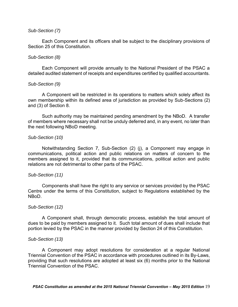## *Sub-Section (7)*

Each Component and its officers shall be subject to the disciplinary provisions of Section 25 of this Constitution.

#### *Sub-Section (8)*

 Each Component will provide annually to the National President of the PSAC a detailed audited statement of receipts and expenditures certified by qualified accountants.

#### *Sub-Section (9)*

 own membership within its defined area of jurisdiction as provided by Sub-Sections (2) and (3) of Section 8. A Component will be restricted in its operations to matters which solely affect its

and (3) of Section 8.<br>Such authority may be maintained pending amendment by the NBoD. A transfer of members where necessary shall not be unduly deferred and, in any event, no later than the next following NBoD meeting.

## *Sub-Section (10)*

 Notwithstanding Section 7, Sub-Section (2) (j), a Component may engage in communications, political action and public relations on matters of concern to the members assigned to it, provided that its communications, political action and public relations are not detrimental to other parts of the PSAC.

#### *Sub-Section (11)*

 Centre under the terms of this Constitution, subject to Regulations established by the Components shall have the right to any service or services provided by the PSAC NBoD.

#### *Sub-Section (12)*

 portion levied by the PSAC in the manner provided by Section 24 of this Constitution. A Component shall, through democratic process, establish the total amount of dues to be paid by members assigned to it. Such total amount of dues shall include that

#### *Sub-Section (13)*

 A Component may adopt resolutions for consideration at a regular National Triennial Convention of the PSAC in accordance with procedures outlined in its By-Laws, providing that such resolutions are adopted at least six (6) months prior to the National Triennial Convention of the PSAC.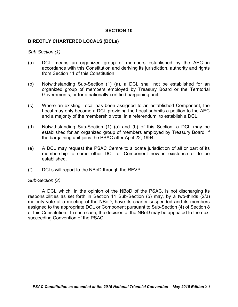## **DIRECTLY CHARTERED LOCALS (DCLs)**

*Sub-Section (1)* 

- $(a)$  accordance with this Constitution and deriving its jurisdiction, authority and rights DCL means an organized group of members established by the AEC in from Section 11 of this Constitution.
- (b) Notwithstanding Sub-Section (1) (a), a DCL shall not be established for an organized group of members employed by Treasury Board or the Territorial Governments, or for a nationally-certified bargaining unit.
- $(c)$  Local may only become a DCL providing the Local submits a petition to the AEC and a majority of the membership vote, in a referendum, to establish a DCL. Where an existing Local has been assigned to an established Component, the
- (d) Notwithstanding Sub-Section (1) (a) and (b) of this Section, a DCL may be established for an organized group of members employed by Treasury Board, if the bargaining unit joins the PSAC after April 22, 1994.
- $(e)$  membership to some other DCL or Component now in existence or to be A DCL may request the PSAC Centre to allocate jurisdiction of all or part of its established.
- (f) DCLs will report to the NBoD through the REVP.

#### *Sub-Section (2)*

 responsibilities as set forth in Section 11 Sub-Section (5) may, by a two-thirds (2/3) majority vote at a meeting of the NBoD, have its charter suspended and its members assigned to the appropriate DCL or Component pursuant to Sub-Section (4) of Section 8 of this Constitution. In such case, the decision of the NBoD may be appealed to the next succeeding Convention of the PSAC. A DCL which, in the opinion of the NBoD of the PSAC, is not discharging its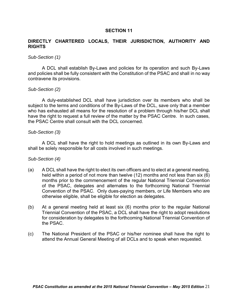## **DIRECTLY CHARTERED LOCALS, THEIR JURISDICTION, AUTHORITY AND RIGHTS**

#### *Sub-Section (1)*

 and policies shall be fully consistent with the Constitution of the PSAC and shall in no way A DCL shall establish By-Laws and policies for its operation and such By-Laws contravene its provisions.

## *Sub-Section (2)*

 subject to the terms and conditions of the By-Laws of the DCL, save only that a member who has exhausted all means for the resolution of a problem through his/her DCL shall have the right to request a full review of the matter by the PSAC Centre. In such cases, A duly-established DCL shall have jurisdiction over its members who shall be the PSAC Centre shall consult with the DCL concerned.

#### *Sub-Section (3)*

 shall be solely responsible for all costs involved in such meetings. A DCL shall have the right to hold meetings as outlined in its own By-Laws and

## *Sub-Section (4)*

- $(a)$  held within a period of not more than twelve (12) months and not less than six (6) months prior to the commencement of the regular National Triennial Convention of the PSAC, delegates and alternates to the forthcoming National Triennial Convention of the PSAC. Only dues-paying members, or Life Members who are A DCL shall have the right to elect its own officers and to elect at a general meeting, otherwise eligible, shall be eligible for election as delegates.
- $(b)$  for consideration by delegates to the forthcoming National Triennial Convention of At a general meeting held at least six  $(6)$  months prior to the regular National Triennial Convention of the PSAC, a DCL shall have the right to adopt resolutions the PSAC.
- $(c)$ The National President of the PSAC or his/her nominee shall have the right to attend the Annual General Meeting of all DCLs and to speak when requested.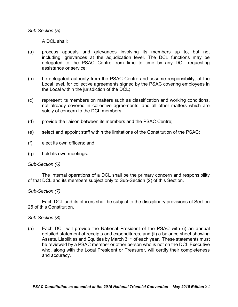*Sub-Section (5)* 

A DCL shall:

- $(a)$  including, grievances at the adjudication level. The DCL functions may be delegated to the PSAC Centre from time to time by any DCL requesting assistance or service; process appeals and grievances involving its members up to, but not
- $(b)$  Local level, for collective agreements signed by the PSAC covering employees in be delegated authority from the PSAC Centre and assume responsibility, at the the Local within the jurisdiction of the DCL;
- (c) represent its members on matters such as classification and working conditions, not already covered in collective agreements, and all other matters which are solely of concern to the DCL members;
- (d) provide the liaison between its members and the PSAC Centre;
- (e) select and appoint staff within the limitations of the Constitution of the PSAC;
- (f) elect its own officers; and
- (g) hold its own meetings.

## *Sub-Section (6)*

The internal operations of a DCL shall be the primary concern and responsibility of that DCL and its members subject only to Sub-Section (2) of this Section.

## *Sub-Section (7)*

Each DCL and its officers shall be subject to the disciplinary provisions of Section 25 of this Constitution.

#### *Sub-Section (8)*

 $(a)$  detailed statement of receipts and expenditures, and (ii) a balance sheet showing Assets, Liabilities and Equities by March 31<sup>st</sup> of each year. These statements must be reviewed by a PSAC member or other person who is not on the DCL Executive who, along with the Local President or Treasurer, will certify their completeness and accuracy. Each DCL will provide the National President of the PSAC with (i) an annual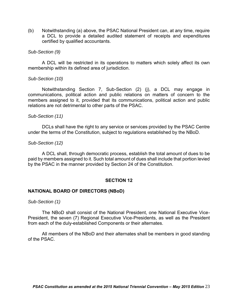a DCL to provide a detailed audited statement of receipts and expenditures (b) Notwithstanding (a) above, the PSAC National President can, at any time, require certified by qualified accountants.

## *Sub-Section (9)*

A DCL will be restricted in its operations to matters which solely affect its own membership within its defined area of jurisdiction.

## *Sub-Section (10)*

 Notwithstanding Section 7, Sub-Section (2) (j), a DCL may engage in communications, political action and public relations on matters of concern to the members assigned to it, provided that its communications, political action and public relations are not detrimental to other parts of the PSAC.

#### *Sub-Section (11)*

 DCLs shall have the right to any service or services provided by the PSAC Centre under the terms of the Constitution, subject to regulations established by the NBoD.

## *Sub-Section (12)*

 paid by members assigned to it. Such total amount of dues shall include that portion levied A DCL shall, through democratic process, establish the total amount of dues to be by the PSAC in the manner provided by Section 24 of the Constitution.

#### **SECTION 12**

#### **NATIONAL BOARD OF DIRECTORS (NBoD)**

*Sub-Section (1)* 

 President, the seven (7) Regional Executive Vice-Presidents, as well as the President from each of the duly-established Components or their alternates. The NBoD shall consist of the National President, one National Executive Vice-

All members of the NBoD and their alternates shall be members in good standing of the PSAC.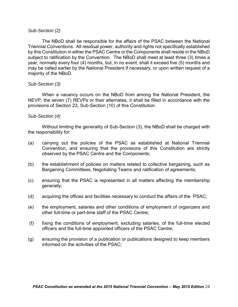## *Sub-Section (2)*

 Triennial Conventions. All residual power, authority and rights not specifically established by this Constitution in either the PSAC Centre or the Components shall reside in the NBoD subject to ratification by the Convention. The NBoD shall meet at least three (3) times a year, normally every four (4) months, but, in no event, shall it exceed five (5) months and may be called earlier by the National President if necessary, or upon written request of a The NBoD shall be responsible for the affairs of the PSAC between the National majority of the NBoD.

## *Sub-Section (3)*

 When a vacancy occurs on the NBoD from among the National President, the NEVP, the seven (7) REVPs or their alternates, it shall be filled in accordance with the provisions of Section 23, Sub-Section (10) of this Constitution.

## *Sub-Section (4)*

Without limiting the generality of Sub-Section (3), the NBoD shall be charged with the responsibility for:

- (a) carrying out the policies of the PSAC as established at National Triennial Convention, and ensuring that the provisions of this Constitution are strictly observed by the PSAC Centre and the Components;
- $(b)$ the establishment of policies on matters related to collective bargaining, such as Bargaining Committees, Negotiating Teams and ratification of agreements;
- (c) ensuring that the PSAC is represented in all matters affecting the membership generally;
- (d) acquiring the offices and facilities necessary to conduct the affairs of the PSAC;
- $(e)$ the employment, salaries and other conditions of employment of organizers and other full-time or part-time staff of the PSAC Centre;
- $(f)$  officers and the full-time appointed officers of the PSAC Centre; fixing the conditions of employment, excluding salaries, of the full-time elected
- (g) ensuring the provision of a publication or publications designed to keep members informed on the activities of the PSAC;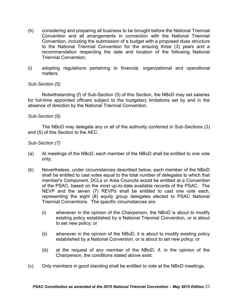- (h) considering and preparing all business to be brought before the National Triennial Convention and all arrangements in connection with the National Triennial Convention, including the submission of a budget with a proposed dues structure to the National Triennial Convention for the ensuing three (3) years and a recommendation respecting the date and location of the following National Triennial Convention;
- (i) adopting regulations pertaining to financial, organizational and operational matters.

## *Sub-Section (5)*

 Notwithstanding (f) of Sub-Section (5) of this Section, the NBoD may set salaries for full-time appointed officers subject to the budgetary limitations set by and in the absence of direction by the National Triennial Convention.

## *Sub-Section (6)*

The NBoD may delegate any or all of the authority conferred in Sub-Sections (3) and (5) of this Section to the AEC.

## *Sub-Section (7)*

- (a) At meetings of the NBoD, each member of the NBoD shall be entitled to one vote only;
- (b) Nevertheless, under circumstances described below, each member of the NBoD shall be entitled to cast votes equal to the total number of delegates to which that member's Component, DCLs or Area Councils would be entitled at a Convention of the PSAC, based on the most up-to-date available records of the PSAC. The NEVP and the seven (7) REVPs shall be entitled to cast one vote each, representing the eight (8) equity group delegates elected to PSAC National Triennial Conventions. The specific circumstances are:
	- (i) whenever in the opinion of the Chairperson, the NBoD is about to modify existing policy established by a National Triennial Convention, or is about to set new policy; or
	- (ii) whenever in the opinion of the NBoD, it is about to modify existing policy established by a National Convention, or is about to set new policy; or
	- $(iii)$ at the request of any member of the NBoD, if, in the opinion of the Chairperson, the conditions stated above exist.
- (c) Only members in good standing shall be entitled to vote at the NBoD meetings.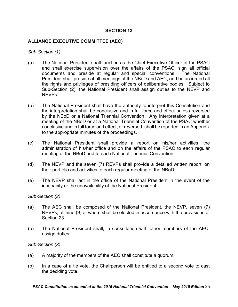# **ALLIANCE EXECUTIVE COMMITTEE (AEC)**

*Sub-Section (1)* 

- $(a)$  and shall exercise supervision over the affairs of the PSAC, sign all official documents and preside at regular and special conventions. The National President shall preside at all meetings of the NBoD and AEC, and be accorded all the rights and privileges of presiding officers of deliberative bodies. Subject to Sub-Section (2), the National President shall assign duties to the NEVP and The National President shall function as the Chief Executive Officer of the PSAC REVPs.
- $(b)$  the interpretation shall be conclusive and in full force and effect unless reversed by the NBoD or a National Triennial Convention. Any interpretation given at a meeting of the NBoD or at a National Triennial Convention of the PSAC whether conclusive and in full force and effect, or reversed, shall be reported in an Appendix The National President shall have the authority to interpret this Constitution and to the appropriate minutes of the proceedings.
- $(c)$  administration of his/her office and on the affairs of the PSAC to each regular The National President shall provide a report on his/her activities, the meeting of the NBoD and to each National Triennial Convention.
- $(d)$  their portfolio and activities to each regular meeting of the NBoD. The NEVP and the seven (7) REVPs shall provide a detailed written report, on
- $(e)$  incapacity or the unavailability of the National President. The NEVP shall act in the office of the National President in the event of the

*Sub-Section (2)* 

- $(a)$  REVPs, all nine (9) of whom shall be elected in accordance with the provisions of The AEC shall be composed of the National President, the NEVP, seven (7) Section 23.
- $(b)$ The National President shall, in consultation with other members of the AEC, assign duties.

*Sub-Section (3)* 

- (a) A majority of the members of the AEC shall constitute a quorum.
- $(b)$ In a case of a tie vote, the Chairperson will be entitled to a second vote to cast the deciding vote.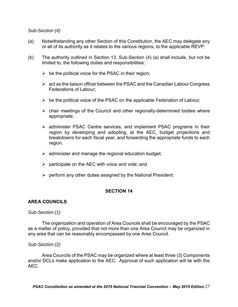## *Sub-Section (4)*

- (a) Notwithstanding any other Section of this Constitution, the AEC may delegate any or all of its authority as it relates to the various regions, to the applicable REVP.
- $(b)$ The authority outlined in Section 13, Sub-Section  $(4)$   $(a)$  shall include, but not be limited to, the following duties and responsibilities:
	- $\triangleright$  be the political voice for the PSAC in their region;
	- $\triangleright$  act as the liaison officer between the PSAC and the Canadian Labour Congress Federations of Labour;
	- $\triangleright$  be the political voice of the PSAC on the applicable Federation of Labour;
	- $\triangleright$  chair meetings of the Council and other regionally-determined bodies where appropriate;
	- administer PSAC Centre services, and implement PSAC programs in their region by developing and adopting, at the AEC, budget projections and breakdowns for each fiscal year, and forwarding the appropriate funds to each region.
	- $\triangleright$  administer and manage the regional education budget;
	- $\triangleright$  participate on the AEC with voice and vote; and
	- $\triangleright$  perform any other duties assigned by the National President.

## **SECTION 14**

## **AREA COUNCILS**

#### *Sub-Section (1)*

 as a matter of policy, provided that not more than one Area Council may be organized in The organization and operation of Area Councils shall be encouraged by the PSAC any area that can be reasonably encompassed by one Area Council.

#### *Sub-Section (2)*

 and/or DCLs make application to the AEC. Approval of such application will lie with the Area Councils of the PSAC may be organized where at least three (3) Components AEC.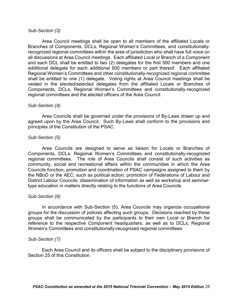## *Sub-Section (3)*

 Branches of Components, DCLs, Regional Women's Committees, and constitutionally- recognized regional committees within the area of jurisdiction who shall have full voice on all discussions at Area Council meetings. Each affiliated Local or Branch of a Component and each DCL shall be entitled to two (2) delegates for the first 500 members and one additional delegate for each additional 500 members or part thereof. Each affiliated Regional Women's Committees and other constitutionally-recognized regional committee shall be entitled to one (1) delegate. Voting rights at Area Council meetings shall be vested in the elected/selected delegates from the affiliated Locals or Branches of Area Council meetings shall be open to all members of the affiliated Locals or Components, DCLs, Regional Women's Committees and constitutionally-recognized regional committees and the elected officers of the Area Council.

#### *Sub-Section (4)*

 agreed upon by the Area Council. Such By-Laws shall conform to the provisions and principles of the Constitution of the PSAC. Area Councils shall be governed under the provisions of By-Laws drawn up and

## *Sub-Section (5)*

 regional committees. The role of Area Councils shall consist of such activities as community, social and recreational affairs within the communities in which the Area Councils function; promotion and coordination of PSAC campaigns assigned to them by the NBoD or the AEC, such as political action; promotion of Federations of Labour and District Labour Councils; dissemination of information as well as workshop and seminar-Area Councils are designed to serve as liaison for Locals or Branches of Components, DCLs, Regional Women's Committees and constitutionally-recognized type education in matters directly relating to the functions of Area Councils.

## *Sub-Section (6)*

 groups for the discussion of policies affecting such groups. Decisions reached by these groups shall be communicated by the participants to their own Local or Branch for reference to the respective Component headquarters, as well as to DCLs, Regional In accordance with Sub-Section (5), Area Councils may organize occupational Women's Committees and constitutionally-recognized regional committees.

#### *Sub-Section (7)*

 Each Area Council and its officers shall be subject to the disciplinary provisions of Section 25 of this Constitution.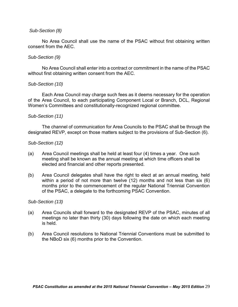## *Sub-Section (8)*

 No Area Council shall use the name of the PSAC without first obtaining written consent from the AEC.

## *Sub-Section (9)*

 No Area Council shall enter into a contract or commitment in the name of the PSAC without first obtaining written consent from the AEC.

#### *Sub-Section (10)*

 Each Area Council may charge such fees as it deems necessary for the operation of the Area Council, to each participating Component Local or Branch, DCL, Regional Women's Committees and constitutionally-recognized regional committee.

#### *Sub-Section (11)*

 designated REVP, except on those matters subject to the provisions of Sub-Section (6). The channel of communication for Area Councils to the PSAC shall be through the

## *Sub-Section (12)*

- (a) Area Council meetings shall be held at least four (4) times a year. One such meeting shall be known as the annual meeting at which time officers shall be elected and financial and other reports presented.
- (b) Area Council delegates shall have the right to elect at an annual meeting, held within a period of not more than twelve (12) months and not less than six (6) months prior to the commencement of the regular National Triennial Convention of the PSAC, a delegate to the forthcoming PSAC Convention.

*Sub-Section (13)* 

- $(a)$  meetings no later than thirty (30) days following the date on which each meeting Area Councils shall forward to the designated REVP of the PSAC, minutes of all is held.
- $(b)$ Area Council resolutions to National Triennial Conventions must be submitted to the NBoD six (6) months prior to the Convention.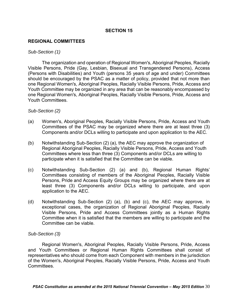## **REGIONAL COMMITTEES**

#### *Sub-Section (1)*

 Visible Persons, Pride (Gay, Lesbian, Bisexual and Transgendered Persons), Access (Persons with Disabilities) and Youth (persons 35 years of age and under) Committees should be encouraged by the PSAC as a matter of policy, provided that not more than Youth Committee may be organized in any area that can be reasonably encompassed by The organization and operation of Regional Women's, Aboriginal Peoples, Racially one Regional Women's, Aboriginal Peoples, Racially Visible Persons, Pride, Access and one Regional Women's, Aboriginal Peoples, Racially Visible Persons, Pride, Access and Youth Committees.

## *Sub-Section (2)*

- (a) Women's, Aboriginal Peoples, Racially Visible Persons, Pride, Access and Youth Committees of the PSAC may be organized where there are at least three (3) Components and/or DCLs willing to participate and upon application to the AEC.
- participate when it is satisfied that the Committee can be viable. (b) Notwithstanding Sub-Section (2) (a), the AEC may approve the organization of Regional Aboriginal Peoples, Racially Visible Persons, Pride, Access and Youth Committees where less than three (3) Components and/or DCLs are willing to
- (c) Notwithstanding Sub-Section (2) (a) and (b), Regional Human Rights' Committees consisting of members of the Aboriginal Peoples, Racially Visible Persons, Pride and Access Equity Groups may be organized where there are at least three (3) Components and/or DCLs willing to participate, and upon application to the AEC.
- application to the AEC.<br>(d) Notwithstanding Sub-Section (2) (a), (b) and (c), the AEC may approve, in Visible Persons, Pride and Access Committees jointly as a Human Rights Committee when it is satisfied that the members are willing to participate and the exceptional cases, the organization of Regional Aboriginal Peoples, Racially Committee can be viable.

## *Sub-Section (3)*

 Regional Women's, Aboriginal Peoples, Racially Visible Persons, Pride, Access and Youth Committees or Regional Human Rights Committees shall consist of representatives who should come from each Component with members in the jurisdiction of the Women's, Aboriginal Peoples, Racially Visible Persons, Pride, Access and Youth Committees.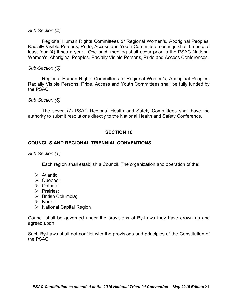## *Sub-Section (4)*

 Regional Human Rights Committees or Regional Women's, Aboriginal Peoples, Racially Visible Persons, Pride, Access and Youth Committee meetings shall be held at least four (4) times a year. One such meeting shall occur prior to the PSAC National Women's, Aboriginal Peoples, Racially Visible Persons, Pride and Access Conferences.

#### *Sub-Section (5)*

 Regional Human Rights Committees or Regional Women's, Aboriginal Peoples, Racially Visible Persons, Pride, Access and Youth Committees shall be fully funded by the PSAC.

## *Sub-Section (6)*

The seven (7) PSAC Regional Health and Safety Committees shall have the authority to submit resolutions directly to the National Health and Safety Conference.

## **SECTION 16**

## **COUNCILS AND REGIONAL TRIENNIAL CONVENTIONS**

*Sub-Section (1)* 

Each region shall establish a Council. The organization and operation of the:

- $\triangleright$  Atlantic;
- Quebec;
- > Ontario;
- $\triangleright$  Prairies;
- $\triangleright$  British Columbia;
- $\triangleright$  North;
- $\triangleright$  National Capital Region

 Council shall be governed under the provisions of By-Laws they have drawn up and agreed upon.

 Such By-Laws shall not conflict with the provisions and principles of the Constitution of the PSAC.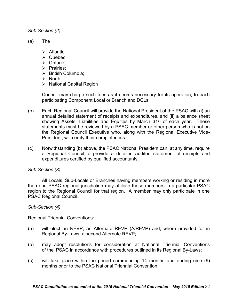*Sub-Section (2)* 

- $(a)$ The
	- $\triangleright$  Atlantic;
	- Quebec;
	- Ontario;
	- $\triangleright$  Prairies;
	- $\triangleright$  British Columbia:
	- $\triangleright$  North;
	- $\triangleright$  National Capital Region

 Council may charge such fees as it deems necessary for its operation, to each participating Component Local or Branch and DCLs.

- $(b)$  annual detailed statement of receipts and expenditures, and (ii) a balance sheet showing Assets, Liabilities and Equities by March 31<sup>st</sup> of each year. These statements must be reviewed by a PSAC member or other person who is not on the Regional Council Executive who, along with the Regional Executive Vice-Each Regional Council will provide the National President of the PSAC with (i) an President, will certify their completeness.
- a Regional Council to provide a detailed audited statement of receipts and (c) Notwithstanding (b) above, the PSAC National President can, at any time, require expenditures certified by qualified accountants.

## *Sub-Section (3)*

 than one PSAC regional jurisdiction may affiliate those members in a particular PSAC region to the Regional Council for that region. A member may only participate in one All Locals, Sub-Locals or Branches having members working or residing in more PSAC Regional Council.

## *Sub-Section (4)*

Regional Triennial Conventions:

- (a) will elect an REVP, an Alternate REVP (A/REVP) and, where provided for in Regional By-Laws, a second Alternate REVP;
- $(b)$  of the PSAC in accordance with procedures outlined in its Regional By-Laws; may adopt resolutions for consideration at National Triennial Conventions
- $(c)$ will take place within the period commencing 14 months and ending nine (9) months prior to the PSAC National Triennial Convention.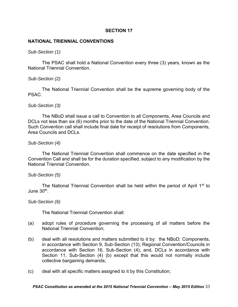## **NATIONAL TRIENNIAL CONVENTIONS**

#### *Sub-Section (1)*

The PSAC shall hold a National Convention every three (3) years, known as the National Triennial Convention.

## *Sub-Section (2)*

The National Triennial Convention shall be the supreme governing body of the PSAC.

## *Sub-Section (3)*

 DCLs not less than six (6) months prior to the date of the National Triennial Convention. Such Convention call shall include final date for receipt of resolutions from Components, The NBoD shall issue a call to Convention to all Components, Area Councils and Area Councils and DCLs.

## *Sub-Section (4)*

 Convention Call and shall be for the duration specified, subject to any modification by the The National Triennial Convention shall commence on the date specified in the National Triennial Convention.

#### *Sub-Section (5)*

June 30<sup>th</sup>. The National Triennial Convention shall be held within the period of April 1<sup>st</sup> to

#### *Sub-Section (6)*

The National Triennial Convention shall:

- (a) adopt rules of procedure governing the processing of all matters before the National Triennial Convention;
- $(b)$  in accordance with Section 9, Sub-Section (13); Regional Convention/Councils in accordance with Section 16, Sub-Section (4); and, DCLs in accordance with Section 11, Sub-Section (4) (b) except that this would not normally include deal with all resolutions and matters submitted to it by: the NBoD; Components, collective bargaining demands;
- (c) deal with all specific matters assigned to it by this Constitution;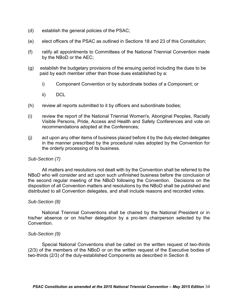- (d) establish the general policies of the PSAC;
- (e) elect officers of the PSAC as outlined in Sections 18 and 23 of this Constitution;
- $(f)$ ratify all appointments to Committees of the National Triennial Convention made by the NBoD or the AEC;
- $(g)$ establish the budgetary provisions of the ensuing period including the dues to be paid by each member other than those dues established by a:
	- i) Component Convention or by subordinate bodies of a Component; or
	- ii) DCL
- (h) review all reports submitted to it by officers and subordinate bodies;
- $(i)$  Visible Persons, Pride, Access and Health and Safety Conferences and vote on review the report of the National Triennial Women's, Aboriginal Peoples, Racially recommendations adopted at the Conferences;
- (j) act upon any other items of business placed before it by the duly elected delegates in the manner prescribed by the procedural rules adopted by the Convention for the orderly processing of its business.

#### *Sub-Section (7)*

 NBoD who will consider and act upon such unfinished business before the conclusion of the second regular meeting of the NBoD following the Convention. Decisions on the disposition of all Convention matters and resolutions by the NBoD shall be published and All matters and resolutions not dealt with by the Convention shall be referred to the distributed to all Convention delegates, and shall include reasons and recorded votes.

#### *Sub-Section (8)*

 National Triennial Conventions shall be chaired by the National President or in his/her absence or on his/her delegation by a pro-tem chairperson selected by the **Convention** 

# *Sub-Section (9)*

 Special National Conventions shall be called on the written request of two-thirds (2/3) of the members of the NBoD or on the written request of the Executive bodies of two-thirds (2/3) of the duly-established Components as described in Section 8.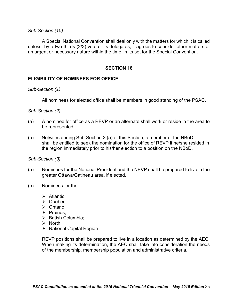*Sub-Section (10)* 

 unless, by a two-thirds (2/3) vote of its delegates, it agrees to consider other matters of A Special National Convention shall deal only with the matters for which it is called an urgent or necessary nature within the time limits set for the Special Convention.

## **SECTION 18**

# **ELIGIBILITY OF NOMINEES FOR OFFICE**

*Sub-Section (1)* 

All nominees for elected office shall be members in good standing of the PSAC.

*Sub-Section (2)* 

- $(a)$ A nominee for office as a REVP or an alternate shall work or reside in the area to be represented.
- shall be entitled to seek the nomination for the office of REVP if he/she resided in the region immediately prior to his/her election to a position on the NBoD. (b) Notwithstanding Sub-Section 2 (a) of this Section, a member of the NBoD

*Sub-Section (3)* 

- (a) Nominees for the National President and the NEVP shall be prepared to live in the greater Ottawa/Gatineau area, if elected.
- (b) Nominees for the:
	- $\triangleright$  Atlantic;
	- > Quebec;
	- Ontario;
	- $\triangleright$  Prairies;
	- $\triangleright$  British Columbia:
	- $\triangleright$  North;
	- $\triangleright$  National Capital Region

 REVP positions shall be prepared to live in a location as determined by the AEC. When making its determination, the AEC shall take into consideration the needs of the membership, membership population and administrative criteria.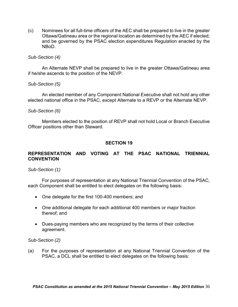(c) Nominees for all full-time officers of the AEC shall be prepared to live in the greater Ottawa/Gatineau area or the regional location as determined by the AEC if elected; and be governed by the PSAC election expenditures Regulation enacted by the NBoD.

## *Sub-Section (4)*

 if he/she ascends to the position of the NEVP. An Alternate NEVP shall be prepared to live in the greater Ottawa/Gatineau area

## *Sub-Section (5)*

An elected member of any Component National Executive shall not hold any other elected national office in the PSAC, except Alternate to a REVP or the Alternate NEVP.

## *Sub-Section (6)*

 Members elected to the position of REVP shall not hold Local or Branch Executive Officer positions other than Steward.

## **SECTION 19**

# **REPRESENTATION AND VOTING AT THE PSAC NATIONAL TRIENNIAL CONVENTION**

*Sub-Section (1)* 

 For purposes of representation at any National Triennial Convention of the PSAC, each Component shall be entitled to elect delegates on the following basis:

- One delegate for the first 100-400 members; and
- One additional delegate for each additional 400 members or major fraction thereof; and
- Dues-paying members who are recognized by the terms of their collective agreement.

*Sub-Section (2)* 

 $(a)$ For the purposes of representation at any National Triennial Convention of the PSAC, a DCL shall be entitled to elect delegates on the following basis: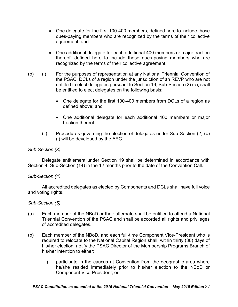- One delegate for the first 100-400 members, defined here to include those dues-paying members who are recognized by the terms of their collective agreement; and
- thereof, defined here to include those dues-paying members who are One additional delegate for each additional 400 members or major fraction recognized by the terms of their collective agreement.
- $(b)$  entitled to elect delegates pursuant to Section 19, Sub-Section (2) (a), shall (i) For the purposes of representation at any National Triennial Convention of the PSAC, DCLs of a region under the jurisdiction of an REVP who are not be entitled to elect delegates on the following basis:
	- One delegate for the first 100-400 members from DCLs of a region as defined above; and
	- One additional delegate for each additional 400 members or major fraction thereof.
	- $(ii)$  (i) will be developed by the AEC. Procedures governing the election of delegates under Sub-Section (2) (b)

# *Sub-Section (3)*

 Delegate entitlement under Section 19 shall be determined in accordance with Section 4, Sub-Section (14) in the 12 months prior to the date of the Convention Call.

## *Sub-Section (4)*

All accredited delegates as elected by Components and DCLs shall have full voice and voting rights.

## *Sub-Section (5)*

- $(a)$  Triennial Convention of the PSAC and shall be accorded all rights and privileges Each member of the NBoD or their alternate shall be entitled to attend a National of accredited delegates.
- $(b)$  required to relocate to the National Capital Region shall, within thirty (30) days of his/her election, notify the PSAC Director of the Membership Programs Branch of Each member of the NBoD, and each full-time Component Vice-President who is his/her intention to either:
	- i) participate in the caucus at Convention from the geographic area where he/she resided immediately prior to his/her election to the NBoD or Component Vice-President; or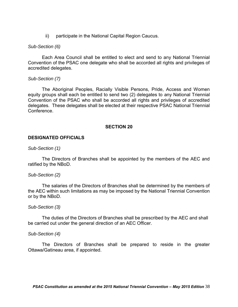$\mathsf{ii}$ participate in the National Capital Region Caucus.

## *Sub-Section (6)*

 Each Area Council shall be entitled to elect and send to any National Triennial Convention of the PSAC one delegate who shall be accorded all rights and privileges of accredited delegates.

## *Sub-Section (7)*

 equity groups shall each be entitled to send two (2) delegates to any National Triennial Convention of the PSAC who shall be accorded all rights and privileges of accredited delegates. These delegates shall be elected at their respective PSAC National Triennial The Aboriginal Peoples, Racially Visible Persons, Pride, Access and Women Conference.

#### **SECTION 20**

# **DESIGNATED OFFICIALS**

*Sub-Section (1)* 

The Directors of Branches shall be appointed by the members of the AEC and ratified by the NBoD.

#### *Sub-Section (2)*

The salaries of the Directors of Branches shall be determined by the members of the AEC within such limitations as may be imposed by the National Triennial Convention or by the NBoD.

#### *Sub-Section (3)*

 be carried out under the general direction of an AEC Officer. The duties of the Directors of Branches shall be prescribed by the AEC and shall

#### *Sub-Section (4)*

 Ottawa/Gatineau area, if appointed. The Directors of Branches shall be prepared to reside in the greater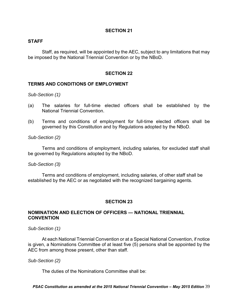## **STAFF**

 Staff, as required, will be appointed by the AEC, subject to any limitations that may be imposed by the National Triennial Convention or by the NBoD.

#### **SECTION 22**

# **TERMS AND CONDITIONS OF EMPLOYMENT**

*Sub-Section (1)* 

- $(a)$ The salaries for full-time elected officers shall be established by the National Triennial Convention.
- (b) Terms and conditions of employment for full-time elected officers shall be governed by this Constitution and by Regulations adopted by the NBoD.

*Sub-Section (2)* 

 Terms and conditions of employment, including salaries, for excluded staff shall be governed by Regulations adopted by the NBoD.

#### *Sub-Section (3)*

Terms and conditions of employment, including salaries, of other staff shall be established by the AEC or as negotiated with the recognized bargaining agents.

#### **SECTION 23**

## **NOMINATION AND ELECTION OF OFFICERS — NATIONAL TRIENNIAL CONVENTION**

*Sub-Section (1)* 

 At each National Triennial Convention or at a Special National Convention, if notice is given, a Nominations Committee of at least five (5) persons shall be appointed by the AEC from among those present, other than staff.

## *Sub-Section (2)*

The duties of the Nominations Committee shall be:

 *PSAC Constitution as amended at the 2015 National Triennial Convention – May 2015 Edition* 39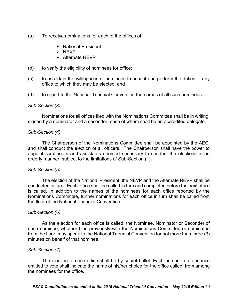- (a) To receive nominations for each of the offices of:
	- $\triangleright$  National President
	- > NEVP
	- $\triangleright$  Alternate NEVP
- (b) to verify the eligibility of nominees for office;
- $(c)$ to ascertain the willingness of nominees to accept and perform the duties of any office to which they may be elected; and
- (d) to report to the National Triennial Convention the names of all such nominees.

## *Sub-Section (3)*

 Nominations for all offices filed with the Nominations Committee shall be in writing, signed by a nominator and a seconder, each of whom shall be an accredited delegate.

# *Sub-Section (4)*

 and shall conduct the election of all officers. The Chairperson shall have the power to appoint scrutineers and assistants deemed necessary to conduct the elections in an The Chairperson of the Nominations Committee shall be appointed by the AEC, orderly manner, subject to the limitations of Sub-Section (1).

## *Sub-Section (5)*

 conducted in turn. Each office shall be called in turn and completed before the next office is called. In addition to the names of the nominees for each office reported by the Nominations Committee, further nominations for each office in turn shall be called from The election of the National President, the NEVP and the Alternate NEVP shall be the floor of the National Triennial Convention.

## *Sub-Section (6)*

 As the election for each office is called, the Nominee, Nominator or Seconder of each nominee, whether filed previously with the Nominations Committee or nominated from the floor, may speak to the National Triennial Convention for not more than three (3) minutes on behalf of that nominee.

## *Sub-Section (7)*

 entitled to vote shall indicate the name of his/her choice for the office called, from among the nominees for the office. The election to each office shall be by secret ballot. Each person in attendance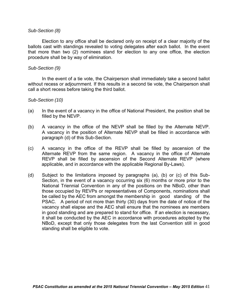## *Sub-Section (8)*

 Election to any office shall be declared only on receipt of a clear majority of the ballots cast with standings revealed to voting delegates after each ballot. In the event that more than two (2) nominees stand for election to any one office, the election procedure shall be by way of elimination.

# *Sub-Section (9)*

 without recess or adjournment. If this results in a second tie vote, the Chairperson shall In the event of a tie vote, the Chairperson shall immediately take a second ballot call a short recess before taking the third ballot.

## *Sub-Section (10)*

- $(a)$ In the event of a vacancy in the office of National President, the position shall be filled by the NEVP.
- $(b)$ A vacancy in the office of the NEVP shall be filled by the Alternate NEVP. A vacancy in the position of Alternate NEVP shall be filled in accordance with paragraph (d) of this Sub-Section.
- $(c)$  Alternate REVP from the same region. A vacancy in the office of Alternate REVP shall be filled by ascension of the Second Alternate REVP (where applicable, and in accordance with the applicable Regional By-Laws). A vacancy in the office of the REVP shall be filled by ascension of the
- $(d)$  Section, in the event of a vacancy occurring six (6) months or more prior to the National Triennial Convention in any of the positions on the NBoD, other than those occupied by REVPs or representatives of Components, nominations shall be called by the AEC from amongst the membership in good standing of the PSAC. A period of not more than thirty (30) days from the date of notice of the vacancy shall elapse and the AEC shall ensure that the nominees are members in good standing and are prepared to stand for office. If an election is necessary, it shall be conducted by the AEC in accordance with procedures adopted by the NBoD, except that only those delegates from the last Convention still in good Subject to the limitations imposed by paragraphs (a), (b) or (c) of this Substanding shall be eligible to vote.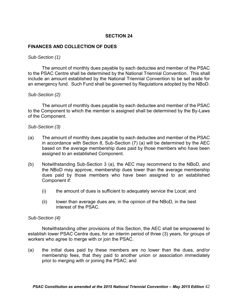# **FINANCES AND COLLECTION OF DUES**

#### *Sub-Section (1)*

 to the PSAC Centre shall be determined by the National Triennial Convention. This shall include an amount established by the National Triennial Convention to be set aside for an emergency fund. Such Fund shall be governed by Regulations adopted by the NBoD. The amount of monthly dues payable by each deductee and member of the PSAC

## *Sub-Section (2)*

 to the Component to which the member is assigned shall be determined by the By-Laws of the Component. The amount of monthly dues payable by each deductee and member of the PSAC

## *Sub-Section (3)*

- $(a)$  in accordance with Section 8, Sub-Section (7) (a) will be determined by the AEC based on the average membership dues paid by those members who have been The amount of monthly dues payable by each deductee and member of the PSAC assigned to an established Component.
- (b) Notwithstanding Sub-Section 3 (a), the AEC may recommend to the NBoD, and dues paid by those members who have been assigned to an established the NBoD may approve, membership dues lower than the average membership Component if:
	- (i) the amount of dues is sufficient to adequately service the Local; and
	- interest of the PSAC. (ii) lower than average dues are, in the opinion of the NBoD, in the best

## *Sub-Section (4)*

 Notwithstanding other provisions of this Section, the AEC shall be empowered to establish lower PSAC Centre dues, for an interim period of three (3) years, for groups of workers who agree to merge with or join the PSAC.

 $(a)$  membership fees, that they paid to another union or association immediately prior to merging with or joining the PSAC; and the initial dues paid by these members are no lower than the dues, and/or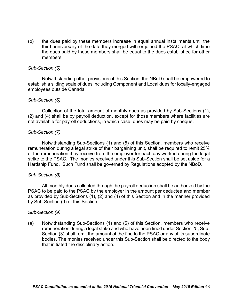$(b)$ the dues paid by these members increase in equal annual installments until the third anniversary of the date they merged with or joined the PSAC, at which time the dues paid by these members shall be equal to the dues established for other members.

## *Sub-Section (5)*

 Notwithstanding other provisions of this Section, the NBoD shall be empowered to establish a sliding scale of dues including Component and Local dues for locally-engaged employees outside Canada.

#### *Sub-Section (6)*

 Collection of the total amount of monthly dues as provided by Sub-Sections (1), (2) and (4) shall be by payroll deduction, except for those members where facilities are not available for payroll deductions, in which case, dues may be paid by cheque.

# *Sub-Section (7)*

 Notwithstanding Sub-Sections (1) and (5) of this Section, members who receive remuneration during a legal strike of their bargaining unit, shall be required to remit 25% of the remuneration they receive from the employer for each day worked during the legal strike to the PSAC. The monies received under this Sub-Section shall be set aside for a Hardship Fund. Such Fund shall be governed by Regulations adopted by the NBoD.

## *Sub-Section (8)*

 PSAC to be paid to the PSAC by the employer in the amount per deductee and member as provided by Sub-Sections (1), (2) and (4) of this Section and in the manner provided All monthly dues collected through the payroll deduction shall be authorized by the by Sub-Section (9) of this Section.

#### *Sub-Section (9)*

 (a) Notwithstanding Sub-Sections (1) and (5) of this Section, members who receive remuneration during a legal strike and who have been fined under Section 25, Sub- Section (3) shall remit the amount of the fine to the PSAC or any of its subordinate bodies. The monies received under this Sub-Section shall be directed to the body that initiated the disciplinary action.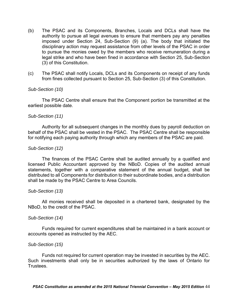- $(b)$  authority to pursue all legal avenues to ensure that members pay any penalties imposed under Section 24, Sub-Section (9) (a). The body that initiated the disciplinary action may request assistance from other levels of the PSAC in order to pursue the monies owed by the members who receive remuneration during a legal strike and who have been fined in accordance with Section 25, Sub-Section The PSAC and its Components, Branches, Locals and DCLs shall have the (3) of this Constitution.
- $(c)$ The PSAC shall notify Locals, DCLs and its Components on receipt of any funds from fines collected pursuant to Section 25, Sub-Section (3) of this Constitution.

## *Sub-Section (10)*

The PSAC Centre shall ensure that the Component portion be transmitted at the earliest possible date.

#### *Sub-Section (11)*

 Authority for all subsequent changes in the monthly dues by payroll deduction on behalf of the PSAC shall be vested in the PSAC. The PSAC Centre shall be responsible for notifying each paying authority through which any members of the PSAC are paid.

#### *Sub-Section (12)*

 licensed Public Accountant approved by the NBoD. Copies of the audited annual statements, together with a comparative statement of the annual budget, shall be distributed to all Components for distribution to their subordinate bodies, and a distribution The finances of the PSAC Centre shall be audited annually by a qualified and shall be made by the PSAC Centre to Area Councils.

#### *Sub-Section (13)*

All monies received shall be deposited in a chartered bank, designated by the NBoD, to the credit of the PSAC.

#### *Sub-Section (14)*

 Funds required for current expenditures shall be maintained in a bank account or accounts opened as instructed by the AEC.

#### *Sub-Section (15)*

 Funds not required for current operation may be invested in securities by the AEC. Such investments shall only be in securities authorized by the laws of Ontario for Trustees.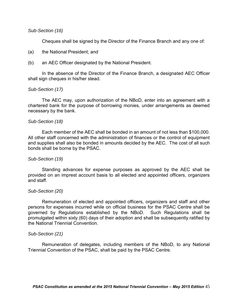## *Sub-Section (16)*

Cheques shall be signed by the Director of the Finance Branch and any one of:

#### (a) the National President; and

an AEC Officer designated by the National President.

(b) an AEC Officer designated by the National President. In the absence of the Director of the Finance Branch, a designated AEC Officer shall sign cheques in his/her stead.

## *Sub-Section (17)*

 chartered bank for the purpose of borrowing monies, under arrangements as deemed The AEC may, upon authorization of the NBoD, enter into an agreement with a necessary by the bank.

## *Sub-Section (18)*

 All other staff concerned with the administration of finances or the control of equipment and supplies shall also be bonded in amounts decided by the AEC. The cost of all such bonds shall be borne by the PSAC. Each member of the AEC shall be bonded in an amount of not less than \$100,000.

#### *Sub-Section (19)*

 Standing advances for expense purposes as approved by the AEC shall be provided on an imprest account basis to all elected and appointed officers, organizers and staff.

#### *Sub-Section (20)*

 Remuneration of elected and appointed officers, organizers and staff and other persons for expenses incurred while on official business for the PSAC Centre shall be governed by Regulations established by the NBoD. Such Regulations shall be promulgated within sixty (60) days of their adoption and shall be subsequently ratified by the National Triennial Convention.

#### *Sub-Section (21)*

 Remuneration of delegates, including members of the NBoD, to any National Triennial Convention of the PSAC, shall be paid by the PSAC Centre.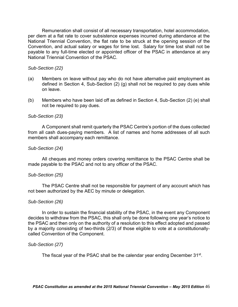per diem at a flat rate to cover subsistence expenses incurred during attendance at the National Triennial Convention, the flat rate to be struck at the opening session of the Convention, and actual salary or wages for time lost. Salary for time lost shall not be payable to any full-time elected or appointed officer of the PSAC in attendance at any Remuneration shall consist of all necessary transportation, hotel accommodation, National Triennial Convention of the PSAC.

## *Sub-Section (22)*

- (a) Members on leave without pay who do not have alternative paid employment as defined in Section 4, Sub-Section (2) (g) shall not be required to pay dues while on leave.
- (b) Members who have been laid off as defined in Section 4, Sub-Section (2) (e) shall not be required to pay dues.

#### *Sub-Section (23)*

 from all cash dues-paying members. A list of names and home addresses of all such A Component shall remit quarterly the PSAC Centre's portion of the dues collected members shall accompany each remittance.

#### *Sub-Section (24)*

All cheques and money orders covering remittance to the PSAC Centre shall be made payable to the PSAC and not to any officer of the PSAC.

#### *Sub-Section (25)*

The PSAC Centre shall not be responsible for payment of any account which has not been authorized by the AEC by minute or delegation.

#### *Sub-Section (26)*

 decides to withdraw from the PSAC, this shall only be done following one year's notice to the PSAC and then only on the authority of a resolution to this effect adopted and passed by a majority consisting of two-thirds (2/3) of those eligible to vote at a constitutionally-In order to sustain the financial stability of the PSAC, in the event any Component called Convention of the Component.

## *Sub-Section (27)*

The fiscal year of the PSAC shall be the calendar year ending December 31<sup>st</sup>.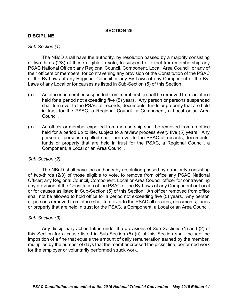## **DISCIPLINE**

#### *Sub-Section (1)*

 of two-thirds (2/3) of those eligible to vote, to suspend or expel from membership any PSAC National Officer; any Regional Council, Component, Local, Area Council, or any of their officers or members, for contravening any provision of the Constitution of the PSAC or the By-Laws of any Regional Council or any By-Laws of any Component or the By-The NBoD shall have the authority, by resolution passed by a majority consisting Laws of any Local or for causes as listed in Sub-Section (5) of this Section.

- $(a)$  held for a period not exceeding five (5) years. Any person or persons suspended shall turn over to the PSAC all records, documents, funds or property that are held in trust for the PSAC, a Regional Council, a Component, a Local or an Area An officer or member suspended from membership shall be removed from an office Council.
- $(b)$  held for a period up to life, subject to a review process every five (5) years. Any person or persons expelled shall turn over to the PSAC all records, documents, funds or property that are held in trust for the PSAC, a Regional Council, a An officer or member expelled from membership shall be removed from an office Component, a Local or an Area Council.

#### *Sub-Section (2)*

 of two-thirds (2/3) of those eligible to vote, to remove from office any PSAC National Officer; any Regional Council, Component, Local or Area Council officer for contravening any provision of the Constitution of the PSAC or the By-Laws of any Component or Local or for causes as listed in Sub-Section (5) of this Section. An officer removed from office shall not be allowed to hold office for a period not exceeding five (5) years. Any person or persons removed from office shall turn over to the PSAC all records, documents, funds or property that are held in trust for the PSAC, a Component, a Local or an Area Council. The NBoD shall have the authority by resolution passed by a majority consisting

#### *Sub-Section (3)*

 this Section for a cause listed in Sub-Section (5) (n) of this Section shall include the imposition of a fine that equals the amount of daily remuneration earned by the member, multiplied by the number of days that the member crossed the picket line, performed work Any disciplinary action taken under the provisions of Sub-Sections (1) and (2) of for the employer or voluntarily performed struck work.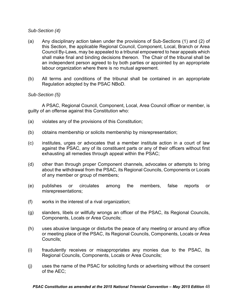# *Sub-Section (4)*

- $(a)$  this Section, the applicable Regional Council, Component, Local, Branch or Area Council By-Laws, may be appealed to a tribunal empowered to hear appeals which shall make final and binding decisions thereon. The Chair of the tribunal shall be an independent person agreed to by both parties or appointed by an appropriate Any disciplinary action taken under the provisions of Sub-Sections (1) and (2) of labour organization where there is no mutual agreement.
- $(b)$ All terms and conditions of the tribunal shall be contained in an appropriate Regulation adopted by the PSAC NBoD.

# *Sub-Section (5)*

 guilty of an offense against this Constitution who: A PSAC, Regional Council, Component, Local, Area Council officer or member, is

- (a) violates any of the provisions of this Constitution;
- (b) obtains membership or solicits membership by misrepresentation;
- (c) institutes, urges or advocates that a member institute action in a court of law against the PSAC, any of its constituent parts or any of their officers without first exhausting all remedies through appeal within the PSAC;
- (d) other than through proper Component channels, advocates or attempts to bring about the withdrawal from the PSAC, its Regional Councils, Components or Locals of any member or group of members;
- among (e) publishes or circulates among the members, false reports or misrepresentations;
- $(f)$  works in the interest of a rival organization;
- (g) slanders, libels or willfully wrongs an officer of the PSAC, its Regional Councils, Components, Locals or Area Councils;
- (h) uses abusive language or disturbs the peace of any meeting or around any office or meeting place of the PSAC, its Regional Councils, Components, Locals or Area Councils;
- (i) fraudulently receives or misappropriates any monies due to the PSAC, its Regional Councils, Components, Locals or Area Councils;
- (j) uses the name of the PSAC for soliciting funds or advertising without the consent of the AEC;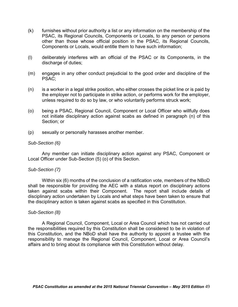- (k) furnishes without prior authority a list or any information on the membership of the PSAC, its Regional Councils, Components or Locals, to any person or persons other than those whose official position in the PSAC, its Regional Councils, Components or Locals, would entitle them to have such information;
- (l) deliberately interferes with an official of the PSAC or its Components, in the discharge of duties;
- (m) engages in any other conduct prejudicial to the good order and discipline of the PSAC;
- $(n)$  unless required to do so by law, or who voluntarily performs struck work; is a worker in a legal strike position, who either crosses the picket line or is paid by the employer not to participate in strike action, or performs work for the employer,
- $(0)$  not initiate disciplinary action against scabs as defined in paragraph (n) of this being a PSAC, Regional Council, Component or Local Officer who willfully does Section; or
- (p) sexually or personally harasses another member.

## *Sub-Section (6)*

Any member can initiate disciplinary action against any PSAC, Component or Local Officer under Sub-Section (5) (o) of this Section.

## *Sub-Section (7)*

 Within six (6) months of the conclusion of a ratification vote, members of the NBoD shall be responsible for providing the AEC with a status report on disciplinary actions taken against scabs within their Component. The report shall include details of disciplinary action undertaken by Locals and what steps have been taken to ensure that the disciplinary action is taken against scabs as specified in this Constitution.

## *Sub-Section (8)*

 the responsibilities required by this Constitution shall be considered to be in violation of this Constitution, and the NBoD shall have the authority to appoint a trustee with the responsibility to manage the Regional Council, Component, Local or Area Council's A Regional Council, Component, Local or Area Council which has not carried out affairs and to bring about its compliance with this Constitution without delay.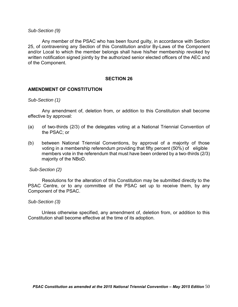#### *Sub-Section (9)*

 25, of contravening any Section of this Constitution and/or By-Laws of the Component and/or Local to which the member belongs shall have his/her membership revoked by written notification signed jointly by the authorized senior elected officers of the AEC and Any member of the PSAC who has been found guilty, in accordance with Section of the Component.

## **SECTION 26**

## **AMENDMENT OF CONSTITUTION**

#### *Sub-Section (1)*

Any amendment of, deletion from, or addition to this Constitution shall become effective by approval:

- $(a)$ of two-thirds (2/3) of the delegates voting at a National Triennial Convention of the PSAC; or
- (b) between National Triennial Conventions, by approval of a majority of those voting in a membership referendum providing that fifty percent (50%) of eligible members vote in the referendum that must have been ordered by a two-thirds (2/3) majority of the NBoD.

#### *Sub-Section (2)*

 Resolutions for the alteration of this Constitution may be submitted directly to the PSAC Centre, or to any committee of the PSAC set up to receive them, by any Component of the PSAC.

#### *Sub-Section (3)*

Unless otherwise specified, any amendment of, deletion from, or addition to this Constitution shall become effective at the time of its adoption.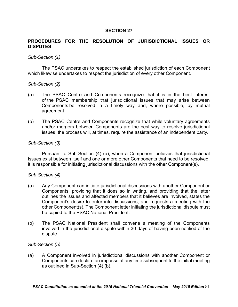# **PROCEDURES FOR THE RESOLUTION OF JURISDICTIONAL ISSUES OR DISPUTES**

## *Sub-Section (1)*

The PSAC undertakes to respect the established jurisdiction of each Component which likewise undertakes to respect the jurisdiction of every other Component.

#### *Sub-Section (2)*

- $(a)$  of the PSAC membership that jurisdictional issues that may arise between Components be resolved in a timely way and, where possible, by mutual The PSAC Centre and Components recognize that it is in the best interest agreement.
- $(b)$  and/or mergers between Components are the best way to resolve jurisdictional issues, the process will, at times, require the assistance of an independent party. The PSAC Centre and Components recognize that while voluntary agreements

## *Sub-Section (3)*

 Pursuant to Sub-Section (4) (a), when a Component believes that jurisdictional issues exist between itself and one or more other Components that need to be resolved, it is responsible for initiating jurisdictional discussions with the other Component(s).

#### *Sub-Section (4)*

- $(a)$  Components, providing that it does so in writing, and providing that the letter outlines the issues and affected members that it believes are involved, states the Component's desire to enter into discussions, and requests a meeting with the other Component(s). The Component letter initiating the jurisdictional dispute must be copied to the PSAC National President. Any Component can initiate jurisdictional discussions with another Component or
- $(b)$  involved in the jurisdictional dispute within 30 days of having been notified of the The PSAC National President shall convene a meeting of the Components dispute.

#### *Sub-Section (5)*

 $(a)$  Components can declare an impasse at any time subsequent to the initial meeting A Component involved in jurisdictional discussions with another Component or as outlined in Sub-Section (4) (b).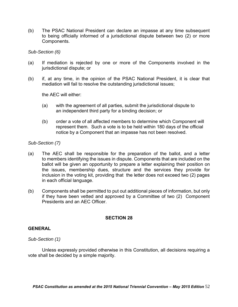$(b)$ The PSAC National President can declare an impasse at any time subsequent to being officially informed of a jurisdictional dispute between two (2) or more Components.

*Sub-Section (6)* 

- $(a)$ If mediation is rejected by one or more of the Components involved in the jurisdictional dispute; or
- (b) if, at any time, in the opinion of the PSAC National President, it is clear that mediation will fail to resolve the outstanding jurisdictional issues;

the AEC will either:

- (a) with the agreement of all parties, submit the jurisdictional dispute to an independent third party for a binding decision; or
- (b) order a vote of all affected members to determine which Component will represent them. Such a vote is to be held within 180 days of the official notice by a Component that an impasse has not been resolved.

## *Sub-Section (7)*

- $(a)$  ballot will be given an opportunity to prepare a letter explaining their position on inclusion in the voting kit, providing that the letter does not exceed two (2) pages The AEC shall be responsible for the preparation of the ballot, and a letter to members identifying the issues in dispute. Components that are included on the the issues, membership dues, structure and the services they provide for in each official language.
- (b) Components shall be permitted to put out additional pieces of information, but only if they have been vetted and approved by a Committee of two (2) Component Presidents and an AEC Officer.

## **SECTION 28**

## **GENERAL**

## *Sub-Section (1)*

 Unless expressly provided otherwise in this Constitution, all decisions requiring a vote shall be decided by a simple majority.